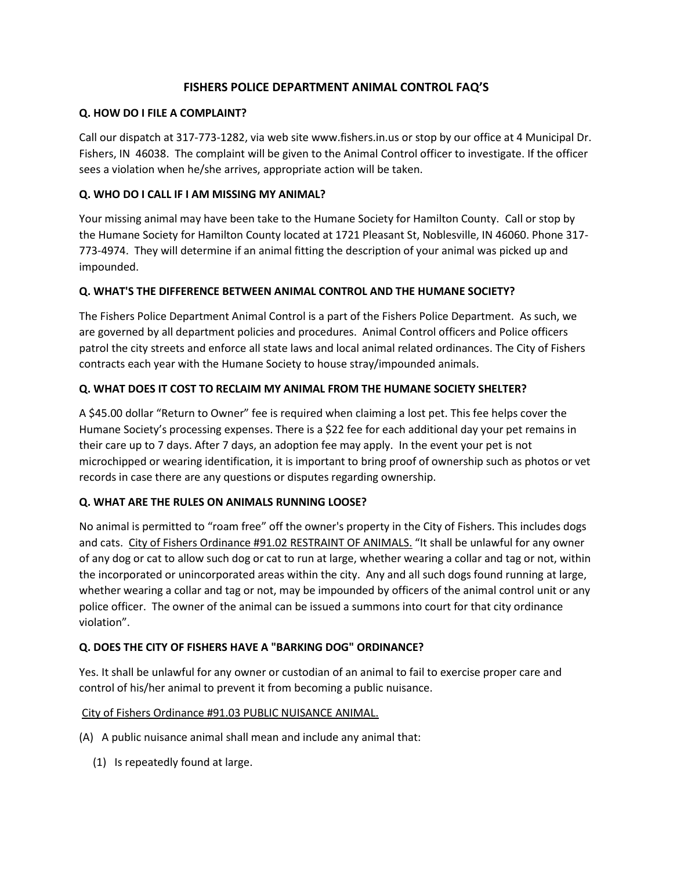# **FISHERS POLICE DEPARTMENT ANIMAL CONTROL FAQ'S**

### **Q. HOW DO I FILE A COMPLAINT?**

Call our dispatch at 317-773-1282, via web site www.fishers.in.us or stop by our office at 4 Municipal Dr. Fishers, IN 46038. The complaint will be given to the Animal Control officer to investigate. If the officer sees a violation when he/she arrives, appropriate action will be taken.

## **Q. WHO DO I CALL IF I AM MISSING MY ANIMAL?**

Your missing animal may have been take to the Humane Society for Hamilton County. Call or stop by the Humane Society for Hamilton County located at 1721 Pleasant St, Noblesville, IN 46060. Phone 317- 773-4974. They will determine if an animal fitting the description of your animal was picked up and impounded.

### **Q. WHAT'S THE DIFFERENCE BETWEEN ANIMAL CONTROL AND THE HUMANE SOCIETY?**

The Fishers Police Department Animal Control is a part of the Fishers Police Department. As such, we are governed by all department policies and procedures. Animal Control officers and Police officers patrol the city streets and enforce all state laws and local animal related ordinances. The City of Fishers contracts each year with the Humane Society to house stray/impounded animals.

## **Q. WHAT DOES IT COST TO RECLAIM MY ANIMAL FROM THE HUMANE SOCIETY SHELTER?**

A \$45.00 dollar "Return to Owner" fee is required when claiming a lost pet. This fee helps cover the Humane Society's processing expenses. There is a \$22 fee for each additional day your pet remains in their care up to 7 days. After 7 days, an adoption fee may apply. In the event your pet is not microchipped or wearing identification, it is important to bring proof of ownership such as photos or vet records in case there are any questions or disputes regarding ownership.

### **Q. WHAT ARE THE RULES ON ANIMALS RUNNING LOOSE?**

No animal is permitted to "roam free" off the owner's property in the City of Fishers. This includes dogs and cats. City of Fishers Ordinance #91.02 RESTRAINT OF ANIMALS. "It shall be unlawful for any owner of any dog or cat to allow such dog or cat to run at large, whether wearing a collar and tag or not, within the incorporated or unincorporated areas within the city. Any and all such dogs found running at large, whether wearing a collar and tag or not, may be impounded by officers of the animal control unit or any police officer. The owner of the animal can be issued a summons into court for that city ordinance violation".

### **Q. DOES THE CITY OF FISHERS HAVE A "BARKING DOG" ORDINANCE?**

Yes. It shall be unlawful for any owner or custodian of an animal to fail to exercise proper care and control of his/her animal to prevent it from becoming a public nuisance.

### City of Fishers Ordinance #91.03 PUBLIC NUISANCE ANIMAL.

- (A) A public nuisance animal shall mean and include any animal that:
	- (1) Is repeatedly found at large.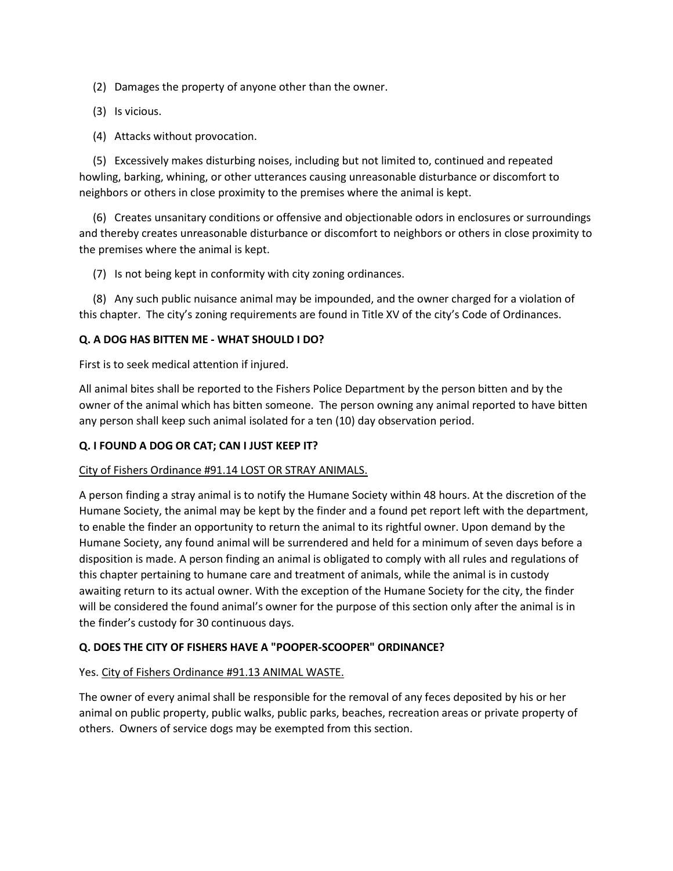(2) Damages the property of anyone other than the owner.

- (3) Is vicious.
- (4) Attacks without provocation.

 (5) Excessively makes disturbing noises, including but not limited to, continued and repeated howling, barking, whining, or other utterances causing unreasonable disturbance or discomfort to neighbors or others in close proximity to the premises where the animal is kept.

 (6) Creates unsanitary conditions or offensive and objectionable odors in enclosures or surroundings and thereby creates unreasonable disturbance or discomfort to neighbors or others in close proximity to the premises where the animal is kept.

(7) Is not being kept in conformity with city zoning ordinances.

 (8) Any such public nuisance animal may be impounded, and the owner charged for a violation of this chapter. The city's zoning requirements are found in Title XV of the city's Code of Ordinances.

### **Q. A DOG HAS BITTEN ME - WHAT SHOULD I DO?**

First is to seek medical attention if injured.

All animal bites shall be reported to the Fishers Police Department by the person bitten and by the owner of the animal which has bitten someone. The person owning any animal reported to have bitten any person shall keep such animal isolated for a ten (10) day observation period.

## **Q. I FOUND A DOG OR CAT; CAN I JUST KEEP IT?**

### City of Fishers Ordinance #91.14 LOST OR STRAY ANIMALS.

A person finding a stray animal is to notify the Humane Society within 48 hours. At the discretion of the Humane Society, the animal may be kept by the finder and a found pet report left with the department, to enable the finder an opportunity to return the animal to its rightful owner. Upon demand by the Humane Society, any found animal will be surrendered and held for a minimum of seven days before a disposition is made. A person finding an animal is obligated to comply with all rules and regulations of this chapter pertaining to humane care and treatment of animals, while the animal is in custody awaiting return to its actual owner. With the exception of the Humane Society for the city, the finder will be considered the found animal's owner for the purpose of this section only after the animal is in the finder's custody for 30 continuous days.

### **Q. DOES THE CITY OF FISHERS HAVE A "POOPER-SCOOPER" ORDINANCE?**

### Yes. City of Fishers Ordinance #91.13 ANIMAL WASTE.

The owner of every animal shall be responsible for the removal of any feces deposited by his or her animal on public property, public walks, public parks, beaches, recreation areas or private property of others. Owners of service dogs may be exempted from this section.